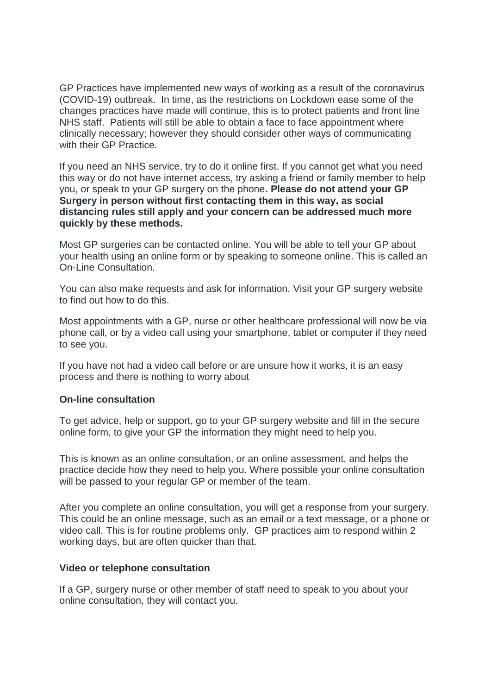GP Practices have implemented new ways of working as a result of the coronavirus (COVID-19) outbreak. In time, as the restrictions on Lockdown ease some of the changes practices have made will continue, this is to protect patients and front line NHS staff. Patients will still be able to obtain a face to face appointment where clinically necessary; however they should consider other ways of communicating with their **GP** Practice.

If you need an NHS service, try to do it online first. If you cannot get what you need this way or do not have internet access, try asking a friend or family member to help you, or speak to your GP surgery on the phone**. Please do not attend your GP Surgery in person without first contacting them in this way, as social distancing rules still apply and your concern can be addressed much more quickly by these methods.**

Most GP surgeries can be contacted online. You will be able to tell your GP about your health using an online form or by speaking to someone online. This is called an On-Line Consultation.

You can also make requests and ask for information. Visit your GP surgery website to find out how to do this.

Most appointments with a GP, nurse or other healthcare professional will now be via phone call, or by a video call using your smartphone, tablet or computer if they need to see you.

If you have not had a video call before or are unsure how it works, it is an easy process and there is nothing to worry about

### **On-line consultation**

To get advice, help or support, go to your GP surgery website and fill in the secure online form, to give your GP the information they might need to help you.

This is known as an online consultation, or an online assessment, and helps the practice decide how they need to help you. Where possible your online consultation will be passed to your regular GP or member of the team.

After you complete an online consultation, you will get a response from your surgery. This could be an online message, such as an email or a text message, or a phone or video call. This is for routine problems only. GP practices aim to respond within 2 working days, but are often quicker than that.

### **Video or telephone consultation**

If a GP, surgery nurse or other member of staff need to speak to you about your online consultation, they will contact you.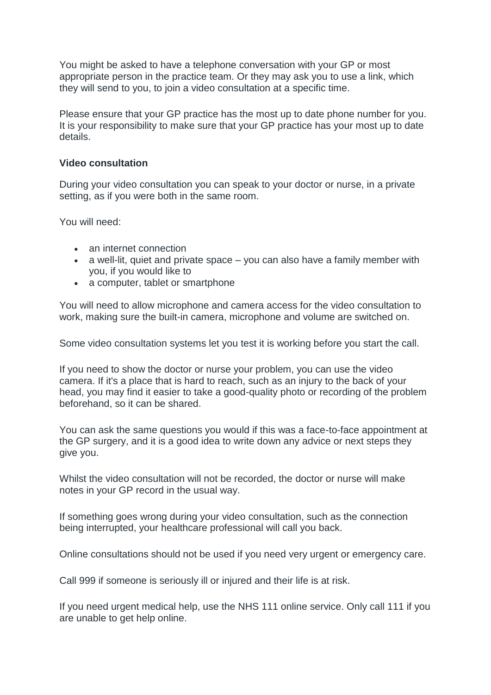You might be asked to have a telephone conversation with your GP or most appropriate person in the practice team. Or they may ask you to use a link, which they will send to you, to join a video consultation at a specific time.

Please ensure that your GP practice has the most up to date phone number for you. It is your responsibility to make sure that your GP practice has your most up to date details.

# **Video consultation**

During your video consultation you can speak to your doctor or nurse, in a private setting, as if you were both in the same room.

You will need:

- an internet connection
- a well-lit, quiet and private space you can also have a family member with you, if you would like to
- a computer, tablet or smartphone

You will need to allow microphone and camera access for the video consultation to work, making sure the built-in camera, microphone and volume are switched on.

Some video consultation systems let you test it is working before you start the call.

If you need to show the doctor or nurse your problem, you can use the video camera. If it's a place that is hard to reach, such as an injury to the back of your head, you may find it easier to take a good-quality photo or recording of the problem beforehand, so it can be shared.

You can ask the same questions you would if this was a face-to-face appointment at the GP surgery, and it is a good idea to write down any advice or next steps they give you.

Whilst the video consultation will not be recorded, the doctor or nurse will make notes in your GP record in the usual way.

If something goes wrong during your video consultation, such as the connection being interrupted, your healthcare professional will call you back.

Online consultations should not be used if you need very urgent or emergency care.

Call 999 if someone is seriously ill or injured and their life is at risk.

If you need urgent medical help, use the NHS 111 online service. Only call 111 if you are unable to get help online.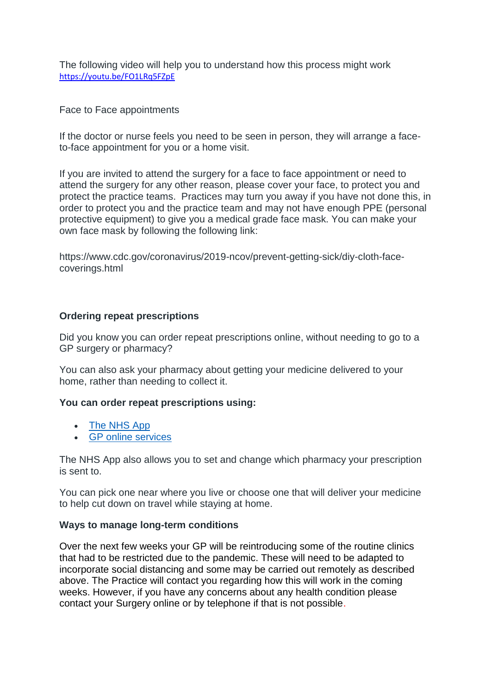The following video will help you to understand how this process might work <https://youtu.be/FO1LRq5FZpE>

Face to Face appointments

If the doctor or nurse feels you need to be seen in person, they will arrange a faceto-face appointment for you or a home visit.

If you are invited to attend the surgery for a face to face appointment or need to attend the surgery for any other reason, please cover your face, to protect you and protect the practice teams. Practices may turn you away if you have not done this, in order to protect you and the practice team and may not have enough PPE (personal protective equipment) to give you a medical grade face mask. You can make your own face mask by following the following link:

https://www.cdc.gov/coronavirus/2019-ncov/prevent-getting-sick/diy-cloth-facecoverings.html

# **Ordering repeat prescriptions**

Did you know you can order repeat prescriptions online, without needing to go to a GP surgery or pharmacy?

You can also ask your pharmacy about getting your medicine delivered to your home, rather than needing to collect it.

### **You can order repeat prescriptions using:**

- [The NHS App](https://www.nhs.uk/using-the-nhs/nhs-services/the-nhs-app/)
- [GP online services](https://www.nhs.uk/using-the-nhs/nhs-services/gps/gp-online-services/)

The NHS App also allows you to set and change which pharmacy your prescription is sent to.

You can pick one near where you live or choose one that will deliver your medicine to help cut down on travel while staying at home.

### **Ways to manage long-term conditions**

Over the next few weeks your GP will be reintroducing some of the routine clinics that had to be restricted due to the pandemic. These will need to be adapted to incorporate social distancing and some may be carried out remotely as described above. The Practice will contact you regarding how this will work in the coming weeks. However, if you have any concerns about any health condition please contact your Surgery online or by telephone if that is not possible.